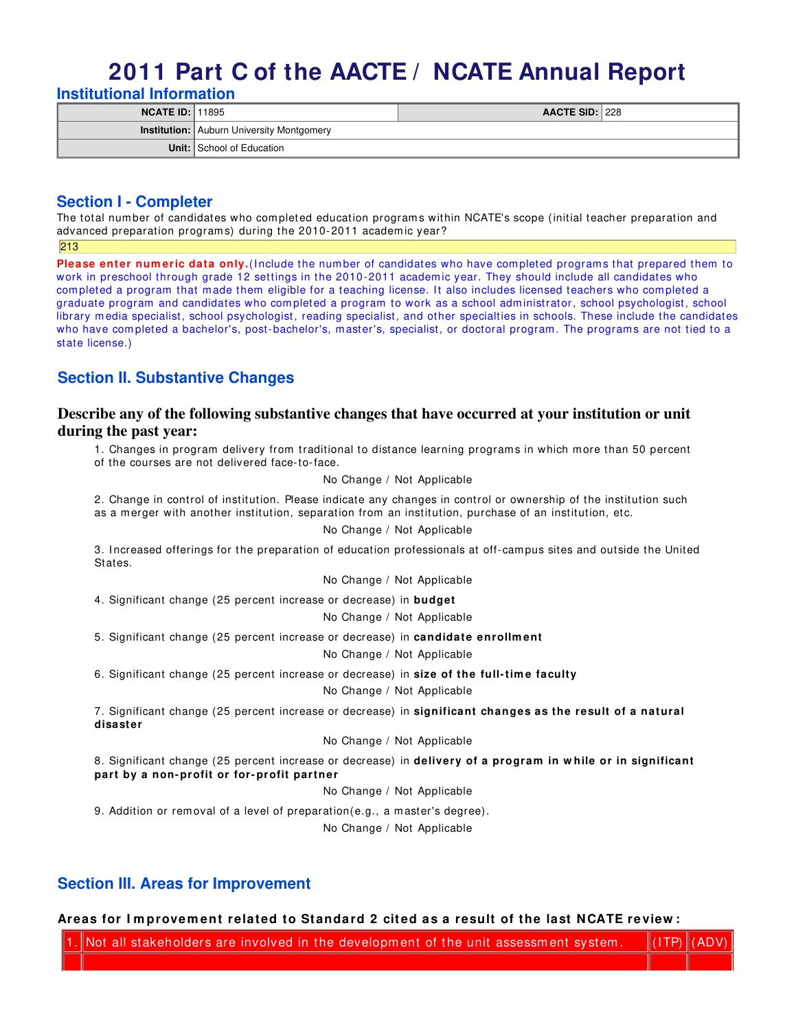# **2011 Part C of the AACTE / NCATE Annual Report Institutional Information**

| <b>NCATE ID: 11895</b> |                                                  | <b>AACTE SID: 228</b> |  |
|------------------------|--------------------------------------------------|-----------------------|--|
|                        | <b>Institution:</b> Auburn University Montgomery |                       |  |
|                        | <b>Unit:</b> School of Education                 |                       |  |

## **Section I - Completer**

The total number of candidates who completed education programs within NCATE's scope (initial teacher preparation and advanced preparation programs) during the 2010-2011 academic year?

213

Please enter numeric data only. (Include the number of candidates who have completed programs that prepared them to work in preschool through grade 12 settings in the 2010-2011 academ ic year. They should include all candidates who completed a program that made them eligible for a teaching license. It also includes licensed teachers who completed a graduate program and candidates who com pleted a program to work as a school adm inistrator, school psychologist, school library media specialist, school psychologist, reading specialist, and other specialties in schools. These include the candidates who have completed a bachelor's, post-bachelor's, master's, specialist, or doctoral program. The programs are not tied to a state license.)

# **Section II. Substantive Changes**

### **Describe any of the following substantive changes that have occurred at your institution or unit during the past year:**

1. Changes in program delivery from traditional to distance learning programs in which more than 50 percent of the courses are not delivered face-to-face.

No Change / Not Applicable

2. Change in control of institution. Please indicate any changes in control or ownership of the institution such as a m erger with another institution, separation from an institution, purchase of an institution, etc.

No Change / Not Applicable

3. I ncreased offerings for the preparation of education professionals at off-cam pus sites and outside the United States.

No Change / Not Applicable

4. Significant change (25 percent increase or decrease) in **budget**

No Change / Not Applicable

5. Significant change (25 percent increase or decrease) in **candidate enrollm ent**

No Change / Not Applicable

6. Significant change (25 percent increase or decrease) in **size of the full- tim e faculty**

No Change / Not Applicable

7. Significant change (25 percent increase or decrease) in **significant changes as the result of a natural disaster**

#### No Change / Not Applicable

8. Significant change (25 percent increase or decrease) in **delivery of a program in w hile or in significant part by a non- profit or for- profit partner**

No Change / Not Applicable

9. Addition or removal of a level of preparation(e.g., a master's degree).

No Change / Not Applicable

## **Section III. Areas for Improvement**

### **Areas for I m provem ent related to Standard 2 cit ed as a result of the last NCATE re view :**

Not all stakeholders are involved in the development of the unit assessment system.  $\|$  (ITP)  $\|$  (ADV)